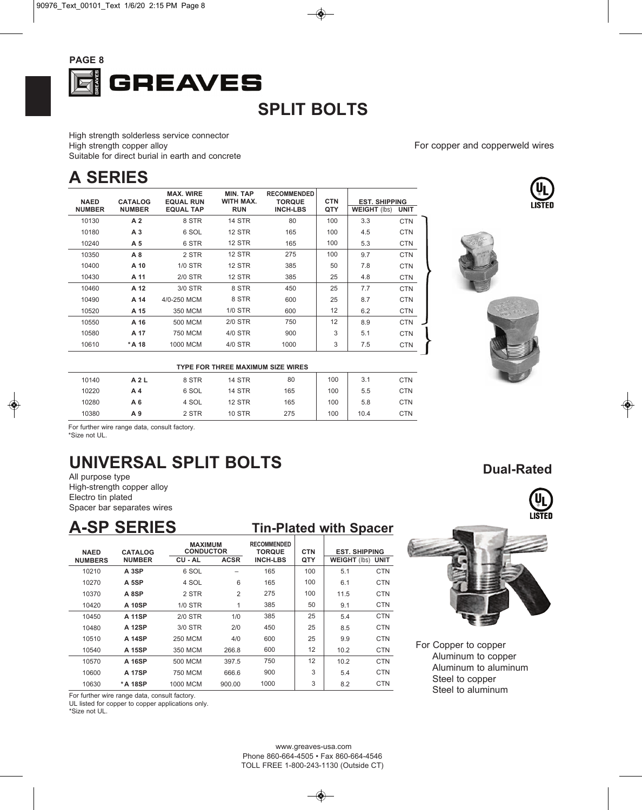

## **SPLIT BOLTS**

High strength solderless service connector High strength copper alloy Suitable for direct burial in earth and concrete

## **A SERIES**

| <b>NAED</b>   | <b>CATALOG</b> | <b>MAX. WIRE</b><br><b>EQUAL RUN</b> | <b>MIN. TAP</b><br>WITH MAX. | <b>RECOMMENDED</b><br><b>TORQUE</b> | <b>CTN</b> | <b>EST. SHIPPING</b> |             |
|---------------|----------------|--------------------------------------|------------------------------|-------------------------------------|------------|----------------------|-------------|
| <b>NUMBER</b> | <b>NUMBER</b>  | <b>EQUAL TAP</b>                     | <b>RUN</b>                   | <b>INCH-LBS</b>                     | QTY        | <b>WEIGHT</b> (lbs)  | <b>UNIT</b> |
| 10130         | A <sub>2</sub> | 8 STR                                | <b>14 STR</b>                | 80                                  | 100        | 3.3                  | <b>CTN</b>  |
| 10180         | A <sub>3</sub> | 6 SOL                                | <b>12 STR</b>                | 165                                 | 100        | 4.5                  | <b>CTN</b>  |
| 10240         | A 5            | 6 STR                                | <b>12 STR</b>                | 165                                 | 100        | 5.3                  | <b>CTN</b>  |
| 10350         | A8             | 2 STR                                | <b>12 STR</b>                | 275                                 | 100        | 9.7                  | <b>CTN</b>  |
| 10400         | A 10           | $1/0$ STR                            | <b>12 STR</b>                | 385                                 | 50         | 7.8                  | <b>CTN</b>  |
| 10430         | A 11           | $2/0$ STR                            | <b>12 STR</b>                | 385                                 | 25         | 4.8                  | <b>CTN</b>  |
| 10460         | A 12           | 3/0 STR                              | 8 STR                        | 450                                 | 25         | 7.7                  | <b>CTN</b>  |
| 10490         | A 14           | 4/0-250 MCM                          | 8 STR                        | 600                                 | 25         | 8.7                  | <b>CTN</b>  |
| 10520         | A 15           | 350 MCM                              | <b>1/0 STR</b>               | 600                                 | 12         | 6.2                  | <b>CTN</b>  |
| 10550         | A 16           | 500 MCM                              | 2/0 STR                      | 750                                 | 12         | 8.9                  | <b>CTN</b>  |
| 10580         | A 17           | 750 MCM                              | 4/0 STR                      | 900                                 | 3          | 5.1                  | <b>CTN</b>  |
| 10610         | *A 18          | 1000 MCM                             | 4/0 STR                      | 1000                                | 3          | 7.5                  | <b>CTN</b>  |

| <b>TYPE FOR THREE MAXIMUM SIZE WIRES</b>                     |     |       |               |     |     |      |            |  |  |
|--------------------------------------------------------------|-----|-------|---------------|-----|-----|------|------------|--|--|
| 100<br><b>14 STR</b><br>3.1<br>80<br>10140<br>8 STR<br>A 2 L |     |       |               |     |     |      |            |  |  |
| 10220                                                        | A 4 | 6 SOL | <b>14 STR</b> | 165 | 100 | 5.5  | <b>CTN</b> |  |  |
| 10280                                                        | A 6 | 4 SOL | <b>12 STR</b> | 165 | 100 | 5.8  | <b>CTN</b> |  |  |
| 10380                                                        | A 9 | 2 STR | <b>10 STR</b> | 275 | 100 | 10.4 | <b>CTN</b> |  |  |

For further wire range data, consult factory. \*Size not UL.

# **UNIVERSAL SPLIT BOLTS**

All purpose type High-strength copper alloy Electro tin plated Spacer bar separates wires

#### **A-SP SERIES**

| <b>Tin-Plated with Spacer</b> |  |
|-------------------------------|--|
|                               |  |

| <b>NAED</b>    | <b>CATALOG</b> |                | <b>MAXIMUM</b><br><b>CONDUCTOR</b> |                 | <b>CTN</b> | <b>EST. SHIPPING</b>     |            |  |
|----------------|----------------|----------------|------------------------------------|-----------------|------------|--------------------------|------------|--|
| <b>NUMBERS</b> | <b>NUMBER</b>  | CU - AL        | <b>ACSR</b>                        | <b>INCH-LBS</b> | QTY        | <b>WEIGHT (lbs) UNIT</b> |            |  |
| 10210          | A 3SP          | 6 SOL          |                                    | 165             | 100        | 5.1                      | <b>CTN</b> |  |
| 10270          | A 5SP          | 4 SOL          | 6                                  | 165             | 100        | 6.1                      | <b>CTN</b> |  |
| 10370          | A 8SP          | 2 STR          | $\overline{2}$                     | 275             | 100        | 11.5                     | <b>CTN</b> |  |
| 10420          | <b>A 10SP</b>  | $1/0$ STR      | 1                                  | 385             | 50         | 9.1                      | <b>CTN</b> |  |
| 10450          | <b>A 11SP</b>  | $2/0$ STR      | 1/0                                | 385             | 25         | 5.4                      | <b>CTN</b> |  |
| 10480          | <b>A 12SP</b>  | 3/0 STR        | 2/0                                | 450             | 25         | 8.5                      | <b>CTN</b> |  |
| 10510          | <b>A 14SP</b>  | <b>250 MCM</b> | 4/0                                | 600             | 25         | 9.9                      | <b>CTN</b> |  |
| 10540          | A 15SP         | 350 MCM        | 266.8                              | 600             | 12         | 10.2                     | <b>CTN</b> |  |
| 10570          | A 16SP         | 500 MCM        | 397.5                              | 750             | 12         | 10.2                     | <b>CTN</b> |  |
| 10600          | <b>A 17SP</b>  | 750 MCM        | 666.6                              | 900             | 3          | 5.4                      | <b>CTN</b> |  |
| 10630          | * A 18SP       | 1000 MCM       | 900.00                             | 1000            | 3          | 8.2                      | <b>CTN</b> |  |

For further wire range data, consult factory.

UL listed for copper to copper applications only.

\*Size not UL.













For Copper to copper Aluminum to copper Aluminum to aluminum Steel to copper Steel to aluminum